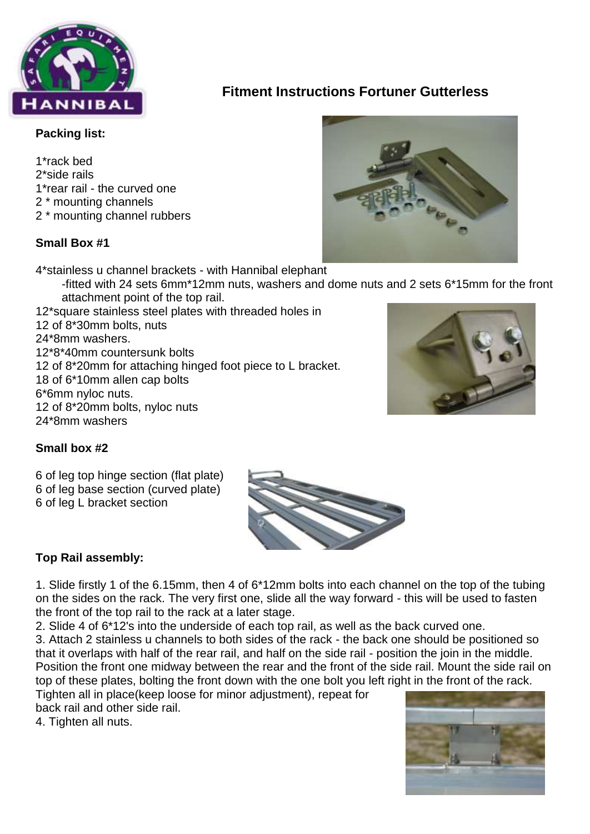

# **Fitment Instructions Fortuner Gutterless**

#### **Packing list:**

1\*rack bed 2\*side rails 1\*rear rail - the curved one 2 \* mounting channels 2 \* mounting channel rubbers

## **Small Box #1**

4\*stainless u channel brackets - with Hannibal elephant

- -fitted with 24 sets 6mm\*12mm nuts, washers and dome nuts and 2 sets 6\*15mm for the front attachment point of the top rail.
- 12\*square stainless steel plates with threaded holes in 12 of 8\*30mm bolts, nuts 24\*8mm washers. 12\*8\*40mm countersunk bolts 12 of 8\*20mm for attaching hinged foot piece to L bracket. 18 of 6\*10mm allen cap bolts 6\*6mm nyloc nuts. 12 of 8\*20mm bolts, nyloc nuts 24\*8mm washers



### **Small box #2**

6 of leg top hinge section (flat plate) 6 of leg base section (curved plate) 6 of leg L bracket section



1. Slide firstly 1 of the 6.15mm, then 4 of 6\*12mm bolts into each channel on the top of the tubing on the sides on the rack. The very first one, slide all the way forward - this will be used to fasten the front of the top rail to the rack at a later stage.

2. Slide 4 of 6\*12's into the underside of each top rail, as well as the back curved one.

3. Attach 2 stainless u channels to both sides of the rack - the back one should be positioned so that it overlaps with half of the rear rail, and half on the side rail - position the join in the middle. Position the front one midway between the rear and the front of the side rail. Mount the side rail on top of these plates, bolting the front down with the one bolt you left right in the front of the rack.

Tighten all in place(keep loose for minor adjustment), repeat for back rail and other side rail.

4. Tighten all nuts.